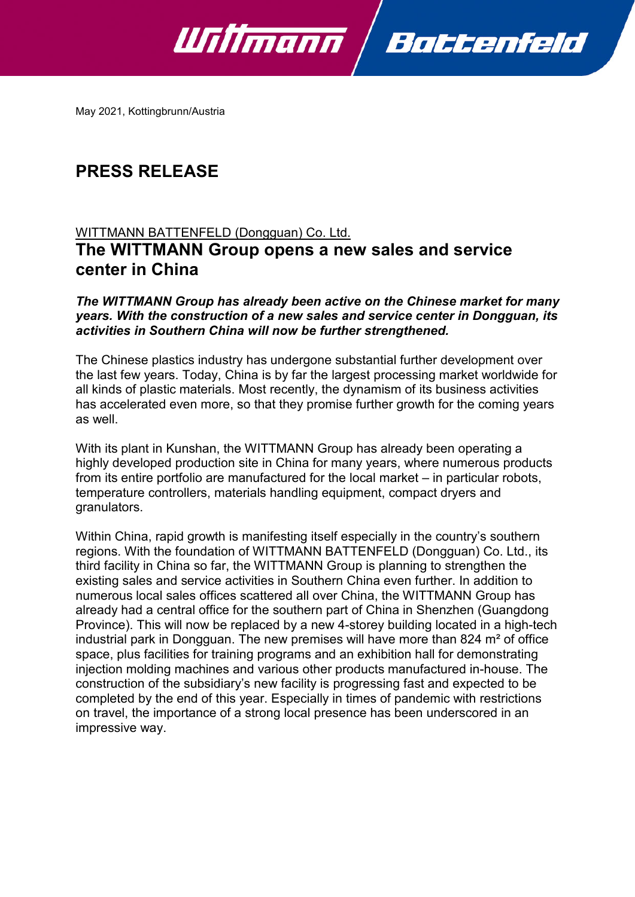

May 2021, Kottingbrunn/Austria

## **PRESS RELEASE**

## WITTMANN BATTENFELD (Dongguan) Co. Ltd. **The WITTMANN Group opens a new sales and service center in China**

*The WITTMANN Group has already been active on the Chinese market for many years. With the construction of a new sales and service center in Dongguan, its activities in Southern China will now be further strengthened.*

The Chinese plastics industry has undergone substantial further development over the last few years. Today, China is by far the largest processing market worldwide for all kinds of plastic materials. Most recently, the dynamism of its business activities has accelerated even more, so that they promise further growth for the coming years as well.

With its plant in Kunshan, the WITTMANN Group has already been operating a highly developed production site in China for many years, where numerous products from its entire portfolio are manufactured for the local market – in particular robots, temperature controllers, materials handling equipment, compact dryers and granulators.

Within China, rapid growth is manifesting itself especially in the country's southern regions. With the foundation of WITTMANN BATTENFELD (Dongguan) Co. Ltd., its third facility in China so far, the WITTMANN Group is planning to strengthen the existing sales and service activities in Southern China even further. In addition to numerous local sales offices scattered all over China, the WITTMANN Group has already had a central office for the southern part of China in Shenzhen (Guangdong Province). This will now be replaced by a new 4-storey building located in a high-tech industrial park in Dongguan. The new premises will have more than 824 m² of office space, plus facilities for training programs and an exhibition hall for demonstrating injection molding machines and various other products manufactured in-house. The construction of the subsidiary's new facility is progressing fast and expected to be completed by the end of this year. Especially in times of pandemic with restrictions on travel, the importance of a strong local presence has been underscored in an impressive way.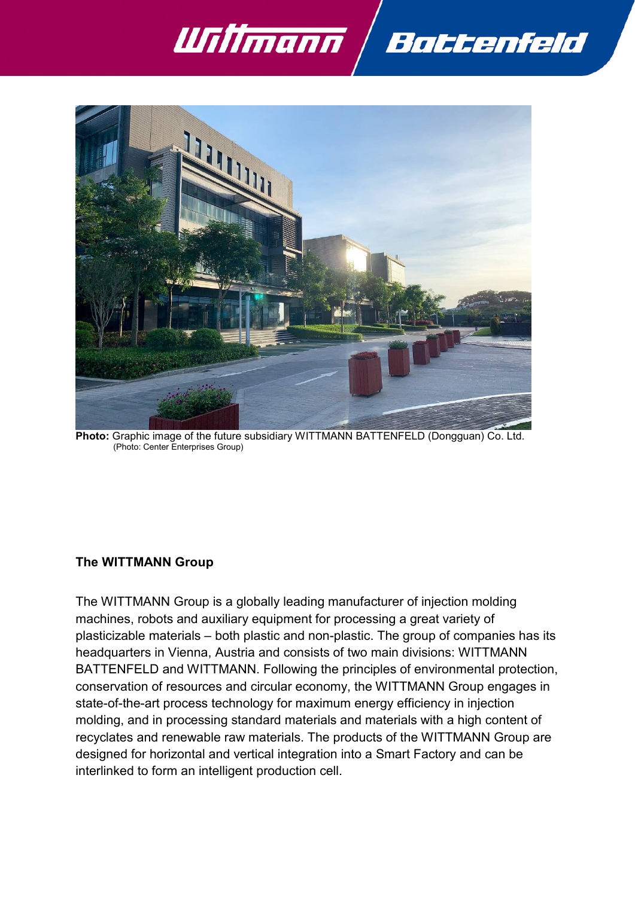



**Photo:** Graphic image of the future subsidiary WITTMANN BATTENFELD (Dongguan) Co. Ltd. (Photo: Center Enterprises Group)

## **The WITTMANN Group**

The WITTMANN Group is a globally leading manufacturer of injection molding machines, robots and auxiliary equipment for processing a great variety of plasticizable materials – both plastic and non-plastic. The group of companies has its headquarters in Vienna, Austria and consists of two main divisions: WITTMANN BATTENFELD and WITTMANN. Following the principles of environmental protection, conservation of resources and circular economy, the WITTMANN Group engages in state-of-the-art process technology for maximum energy efficiency in injection molding, and in processing standard materials and materials with a high content of recyclates and renewable raw materials. The products of the WITTMANN Group are designed for horizontal and vertical integration into a Smart Factory and can be interlinked to form an intelligent production cell.